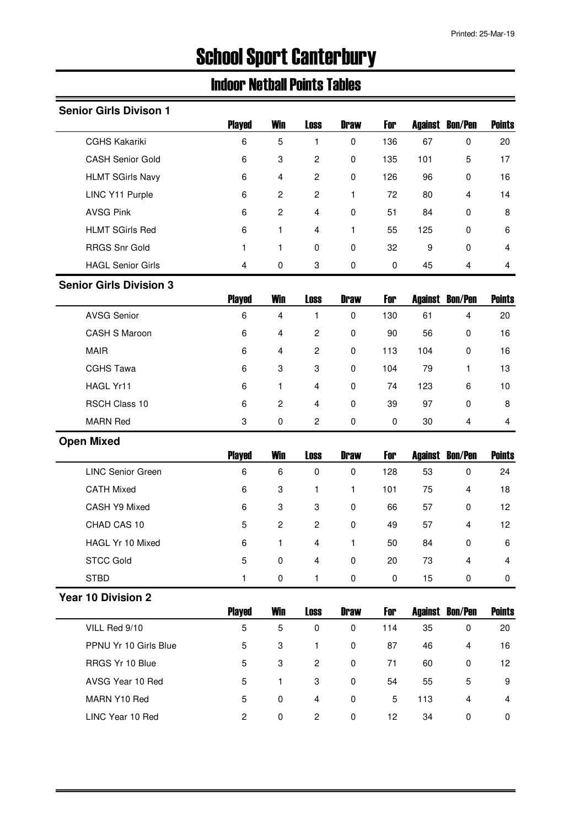# School Sport Canterbury

# Indoor Netball Points Tables

| <b>Senior Girls Divison 1</b>  |                |                         |                         |              |           |                |                |               |
|--------------------------------|----------------|-------------------------|-------------------------|--------------|-----------|----------------|----------------|---------------|
|                                | <b>Played</b>  | <b>Win</b>              | <b>Loss</b>             | <b>Draw</b>  | For       | <b>Against</b> | <b>Bon/Pen</b> | <b>Points</b> |
| <b>CGHS Kakariki</b>           | 6              | 5                       | 1                       | 0            | 136       | 67             | 0              | 20            |
| <b>CASH Senior Gold</b>        | 6              | 3                       | $\overline{\mathbf{c}}$ | $\pmb{0}$    | 135       | 101            | 5              | 17            |
| <b>HLMT SGirls Navy</b>        | 6              | 4                       | $\overline{\mathbf{c}}$ | 0            | 126       | 96             | 0              | 16            |
| LINC Y11 Purple                | 6              | $\overline{\mathbf{c}}$ | $\overline{\mathbf{c}}$ | $\mathbf{1}$ | 72        | 80             | 4              | 14            |
| <b>AVSG Pink</b>               | 6              | $\overline{c}$          | 4                       | 0            | 51        | 84             | 0              | 8             |
| <b>HLMT SGirls Red</b>         | 6              | 1                       | 4                       | $\mathbf{1}$ | 55        | 125            | 0              | 6             |
| <b>RRGS Snr Gold</b>           | 1              | 1                       | 0                       | 0            | 32        | 9              | 0              | 4             |
| <b>HAGL Senior Girls</b>       | 4              | 0                       | 3                       | 0            | $\pmb{0}$ | 45             | 4              | 4             |
| <b>Senior Girls Division 3</b> |                |                         |                         |              |           |                |                |               |
|                                | <b>Played</b>  | <b>Win</b>              | <b>Loss</b>             | <b>Draw</b>  | For       | <b>Against</b> | <b>Bon/Pen</b> | <b>Points</b> |
| <b>AVSG Senior</b>             | 6              | $\overline{\mathbf{4}}$ | 1                       | $\pmb{0}$    | 130       | 61             | $\overline{4}$ | 20            |
| CASH S Maroon                  | 6              | 4                       | $\overline{\mathbf{c}}$ | $\pmb{0}$    | 90        | 56             | $\pmb{0}$      | 16            |
| <b>MAIR</b>                    | 6              | 4                       | 2                       | 0            | 113       | 104            | 0              | 16            |
| <b>CGHS Tawa</b>               | 6              | 3                       | 3                       | 0            | 104       | 79             | 1              | 13            |
| HAGL Yr11                      | 6              | $\mathbf{1}$            | 4                       | $\pmb{0}$    | 74        | 123            | 6              | 10            |
| RSCH Class 10                  | 6              | $\overline{\mathbf{c}}$ | 4                       | $\pmb{0}$    | 39        | 97             | 0              | 8             |
| <b>MARN Red</b>                | 3              | $\pmb{0}$               | $\overline{c}$          | $\pmb{0}$    | $\pmb{0}$ | 30             | 4              | 4             |
| <b>Open Mixed</b>              |                |                         |                         |              |           |                |                |               |
|                                |                |                         |                         | <b>Draw</b>  | For       |                |                |               |
|                                | <b>Played</b>  | <b>Win</b>              | <b>Loss</b>             |              |           | <b>Against</b> | <b>Bon/Pen</b> | <b>Points</b> |
| <b>LINC Senior Green</b>       | 6              | 6                       | $\mathbf 0$             | 0            | 128       | 53             | 0              | 24            |
| <b>CATH Mixed</b>              | 6              | 3                       | 1                       | $\mathbf{1}$ | 101       | 75             | 4              | 18            |
| CASH Y9 Mixed                  | 6              | 3                       | 3                       | $\pmb{0}$    | 66        | 57             | 0              | 12            |
| CHAD CAS 10                    | 5              | $\boldsymbol{2}$        | 2                       | $\pmb{0}$    | 49        | 57             | 4              | 12            |
| HAGL Yr 10 Mixed               | 6              | 1                       | 4                       | 1.           | 50        | 84             | 0              | 6             |
| <b>STCC Gold</b>               | 5              | $\mathbf 0$             | 4                       | 0            | 20        | 73             | 4              | 4             |
| <b>STBD</b>                    | 1.             | 0                       | 1                       | 0            | 0         | 15             | 0              | 0             |
| <b>Year 10 Division 2</b>      |                |                         |                         |              |           |                |                |               |
|                                | <b>Played</b>  | <b>Win</b>              | <b>Loss</b>             | <b>Draw</b>  | For       | Against        | <b>Bon/Pen</b> | <b>Points</b> |
| VILL Red 9/10                  | 5              | 5                       | $\pmb{0}$               | $\pmb{0}$    | 114       | 35             | $\pmb{0}$      | 20            |
| PPNU Yr 10 Girls Blue          | 5              | 3                       | 1                       | 0            | 87        | 46             | 4              | 16            |
| RRGS Yr 10 Blue                | 5              | 3                       | $\mathbf{2}$            | 0            | 71        | 60             | 0              | 12            |
| AVSG Year 10 Red               | 5              | $\mathbf{1}$            | 3                       | 0            | 54        | 55             | 5              | 9             |
| MARN Y10 Red                   | 5              | 0                       | 4                       | 0            | 5         | 113            | $\overline{4}$ | 4             |
| LINC Year 10 Red               | $\overline{c}$ | 0                       | 2                       | $\pmb{0}$    | 12        | 34             | 0              | 0             |
|                                |                |                         |                         |              |           |                |                |               |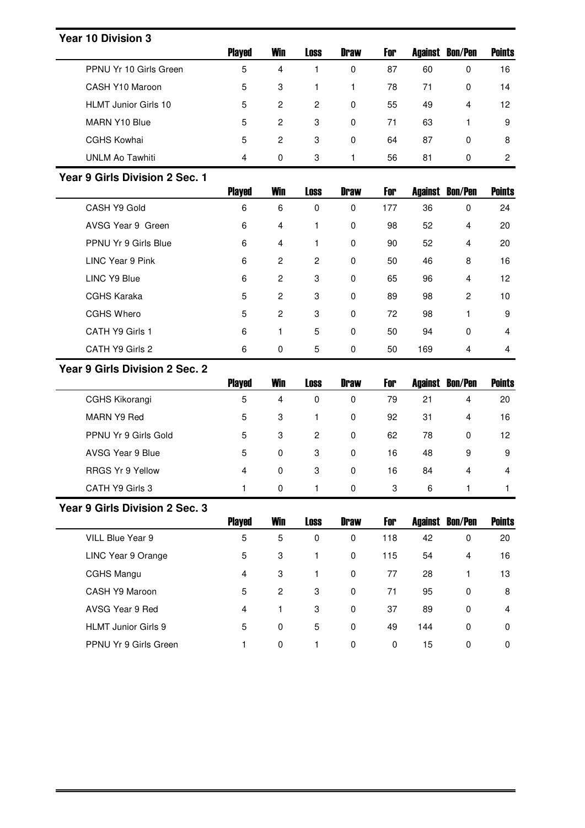## **Year 10 Division 3**

|                             | <b>Played</b> | <b>Win</b> | <b>Loss</b> | <b>Draw</b> | For | Against | <b>Bon/Pen</b> | <b>Points</b> |
|-----------------------------|---------------|------------|-------------|-------------|-----|---------|----------------|---------------|
| PPNU Yr 10 Girls Green      | 5             | 4          |             | 0           | 87  | 60      | 0              | 16            |
| CASH Y10 Maroon             | 5             | 3          |             |             | 78  | 71      | $\Omega$       | 14            |
| <b>HLMT Junior Girls 10</b> | 5             | 2          | 2           | 0           | 55  | 49      | 4              | 12            |
| MARN Y10 Blue               | 5             | 2          | 3           | $\mathbf 0$ | 71  | 63      |                | 9             |
| <b>CGHS Kowhai</b>          | 5             | 2          | 3           | $\mathbf 0$ | 64  | 87      | $\Omega$       | 8             |
| UNLM Ao Tawhiti             | 4             | 0          | 3           |             | 56  | 81      | 0              | 2             |

#### **Year 9 Girls Division 2 Sec. 1**

|                      | <b>Played</b> | <b>Win</b>     | <b>Loss</b>    | <b>Draw</b> | For | Against | Bon/Pen     | <b>Points</b> |
|----------------------|---------------|----------------|----------------|-------------|-----|---------|-------------|---------------|
| CASH Y9 Gold         | 6             | 6              | 0              | 0           | 177 | 36      | 0           | 24            |
| AVSG Year 9 Green    | 6             | 4              |                | $\mathbf 0$ | 98  | 52      | 4           | 20            |
| PPNU Yr 9 Girls Blue | 6             | 4              |                | $\mathbf 0$ | 90  | 52      | 4           | 20            |
| LINC Year 9 Pink     | 6             | $\overline{c}$ | $\overline{c}$ | $\mathbf 0$ | 50  | 46      | 8           | 16            |
| LINC Y9 Blue         | 6             | $\overline{2}$ | 3              | $\mathbf 0$ | 65  | 96      | 4           | 12            |
| <b>CGHS Karaka</b>   | 5             | $\overline{2}$ | 3              | $\mathbf 0$ | 89  | 98      | 2           | 10            |
| CGHS Whero           | 5             | 2              | 3              | $\mathbf 0$ | 72  | 98      |             | 9             |
| CATH Y9 Girls 1      | 6             | 1              | 5              | $\mathbf 0$ | 50  | 94      | $\mathbf 0$ | 4             |
| CATH Y9 Girls 2      | 6             | 0              | 5              | 0           | 50  | 169     | 4           | 4             |

# **Year 9 Girls Division 2 Sec. 2**

|                         | <b>Played</b> | <b>Win</b> | Loss | <b>Draw</b> | For | Against | <b>Bon/Pen</b> | <b>Points</b> |
|-------------------------|---------------|------------|------|-------------|-----|---------|----------------|---------------|
| CGHS Kikorangi          | 5             | 4          | 0    | 0           | 79  | 21      | 4              | 20            |
| MARN Y9 Red             | 5             | 3          |      | 0           | 92  | 31      | 4              | 16            |
| PPNU Yr 9 Girls Gold    | 5             | 3          | 2    | 0           | 62  | 78      | 0              | 12            |
| AVSG Year 9 Blue        | 5             | 0          | 3    | 0           | 16  | 48      | 9              | 9             |
| <b>RRGS Yr 9 Yellow</b> | 4             | 0          | 3    | 0           | 16  | 84      | 4              | 4             |
| CATH Y9 Girls 3         |               | 0          |      | 0           | 3   | 6       |                |               |

#### **Year 9 Girls Division 2 Sec. 3**

|                            | <b>Played</b> | <b>Win</b>     | <b>Loss</b> | <b>Draw</b> | For      | Against | <b>Bon/Pen</b> | <b>Points</b> |
|----------------------------|---------------|----------------|-------------|-------------|----------|---------|----------------|---------------|
| VILL Blue Year 9           | 5             | 5              | 0           | 0           | 118      | 42      | 0              | 20            |
| LINC Year 9 Orange         | 5             | 3              |             | 0           | 115      | 54      | 4              | 16            |
| CGHS Mangu                 | 4             | 3              |             | $\mathbf 0$ | 77       | 28      |                | 13            |
| CASH Y9 Maroon             | 5             | $\overline{c}$ | 3           | 0           | 71       | 95      | $\Omega$       | 8             |
| AVSG Year 9 Red            | 4             |                | 3           | 0           | 37       | 89      | $\Omega$       | 4             |
| <b>HLMT</b> Junior Girls 9 | 5             | 0              | 5           | 0           | 49       | 144     | $\Omega$       | 0             |
| PPNU Yr 9 Girls Green      |               | 0              |             | 0           | $\Omega$ | 15      | $\Omega$       | 0             |